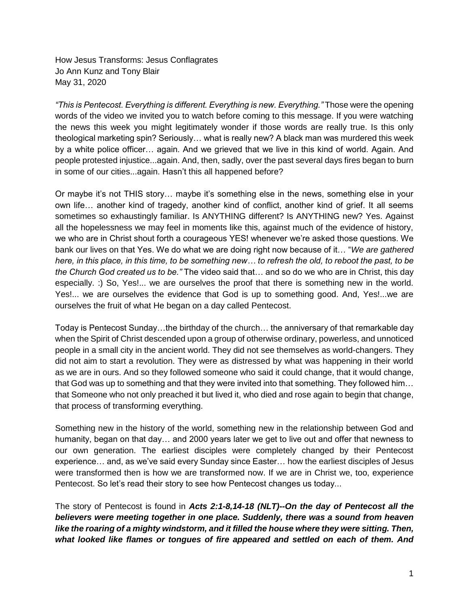How Jesus Transforms: Jesus Conflagrates Jo Ann Kunz and Tony Blair May 31, 2020

*"This is Pentecost. Everything is different. Everything is new. Everything."* Those were the opening words of the video we invited you to watch before coming to this message. If you were watching the news this week you might legitimately wonder if those words are really true. Is this only theological marketing spin? Seriously… what is really new? A black man was murdered this week by a white police officer… again. And we grieved that we live in this kind of world. Again. And people protested injustice...again. And, then, sadly, over the past several days fires began to burn in some of our cities...again. Hasn't this all happened before?

Or maybe it's not THIS story… maybe it's something else in the news, something else in your own life… another kind of tragedy, another kind of conflict, another kind of grief. It all seems sometimes so exhaustingly familiar. Is ANYTHING different? Is ANYTHING new? Yes. Against all the hopelessness we may feel in moments like this, against much of the evidence of history, we who are in Christ shout forth a courageous YES! whenever we're asked those questions. We bank our lives on that Yes. We do what we are doing right now because of it… "*We are gathered here, in this place, in this time, to be something new… to refresh the old, to reboot the past, to be the Church God created us to be."* The video said that… and so do we who are in Christ, this day especially. :) So, Yes!... we are ourselves the proof that there is something new in the world. Yes!... we are ourselves the evidence that God is up to something good. And, Yes!...we are ourselves the fruit of what He began on a day called Pentecost.

Today is Pentecost Sunday…the birthday of the church… the anniversary of that remarkable day when the Spirit of Christ descended upon a group of otherwise ordinary, powerless, and unnoticed people in a small city in the ancient world. They did not see themselves as world-changers. They did not aim to start a revolution. They were as distressed by what was happening in their world as we are in ours. And so they followed someone who said it could change, that it would change, that God was up to something and that they were invited into that something. They followed him… that Someone who not only preached it but lived it, who died and rose again to begin that change, that process of transforming everything.

Something new in the history of the world, something new in the relationship between God and humanity, began on that day… and 2000 years later we get to live out and offer that newness to our own generation. The earliest disciples were completely changed by their Pentecost experience… and, as we've said every Sunday since Easter… how the earliest disciples of Jesus were transformed then is how we are transformed now. If we are in Christ we, too, experience Pentecost. So let's read their story to see how Pentecost changes us today...

The story of Pentecost is found in *Acts 2:1-8,14-18 (NLT)--On the day of Pentecost all the believers were meeting together in one place. Suddenly, there was a sound from heaven like the roaring of a mighty windstorm, and it filled the house where they were sitting. Then, what looked like flames or tongues of fire appeared and settled on each of them. And*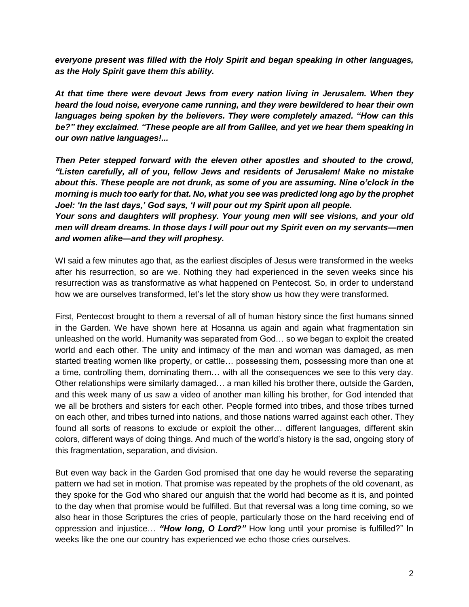*everyone present was filled with the Holy Spirit and began speaking in other languages, as the Holy Spirit gave them this ability.*

*At that time there were devout Jews from every nation living in Jerusalem. When they heard the loud noise, everyone came running, and they were bewildered to hear their own languages being spoken by the believers. They were completely amazed. "How can this be?" they exclaimed. "These people are all from Galilee, and yet we hear them speaking in our own native languages!...* 

*Then Peter stepped forward with the eleven other apostles and shouted to the crowd, "Listen carefully, all of you, fellow Jews and residents of Jerusalem! Make no mistake about this. These people are not drunk, as some of you are assuming. Nine o'clock in the morning is much too early for that. No, what you see was predicted long ago by the prophet Joel: 'In the last days,' God says, 'I will pour out my Spirit upon all people.*

*Your sons and daughters will prophesy. Your young men will see visions, and your old men will dream dreams. In those days I will pour out my Spirit even on my servants—men and women alike—and they will prophesy.*

WI said a few minutes ago that, as the earliest disciples of Jesus were transformed in the weeks after his resurrection, so are we. Nothing they had experienced in the seven weeks since his resurrection was as transformative as what happened on Pentecost. So, in order to understand how we are ourselves transformed, let's let the story show us how they were transformed.

First, Pentecost brought to them a reversal of all of human history since the first humans sinned in the Garden. We have shown here at Hosanna us again and again what fragmentation sin unleashed on the world. Humanity was separated from God… so we began to exploit the created world and each other. The unity and intimacy of the man and woman was damaged, as men started treating women like property, or cattle… possessing them, possessing more than one at a time, controlling them, dominating them… with all the consequences we see to this very day. Other relationships were similarly damaged… a man killed his brother there, outside the Garden, and this week many of us saw a video of another man killing his brother, for God intended that we all be brothers and sisters for each other. People formed into tribes, and those tribes turned on each other, and tribes turned into nations, and those nations warred against each other. They found all sorts of reasons to exclude or exploit the other… different languages, different skin colors, different ways of doing things. And much of the world's history is the sad, ongoing story of this fragmentation, separation, and division.

But even way back in the Garden God promised that one day he would reverse the separating pattern we had set in motion. That promise was repeated by the prophets of the old covenant, as they spoke for the God who shared our anguish that the world had become as it is, and pointed to the day when that promise would be fulfilled. But that reversal was a long time coming, so we also hear in those Scriptures the cries of people, particularly those on the hard receiving end of oppression and injustice… *"How long, O Lord?"* How long until your promise is fulfilled?" In weeks like the one our country has experienced we echo those cries ourselves.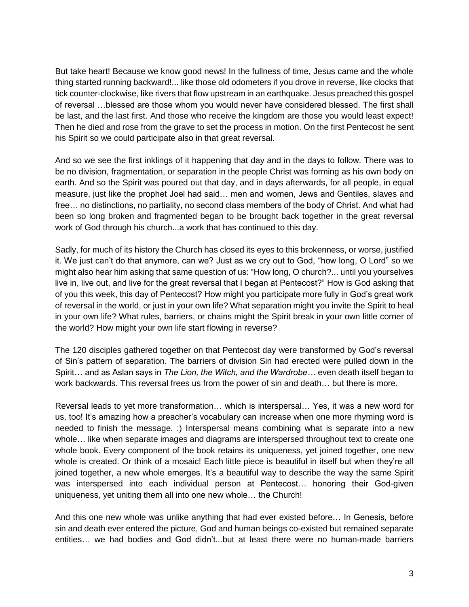But take heart! Because we know good news! In the fullness of time, Jesus came and the whole thing started running backward!... like those old odometers if you drove in reverse, like clocks that tick counter-clockwise, like rivers that flow upstream in an earthquake. Jesus preached this gospel of reversal …blessed are those whom you would never have considered blessed. The first shall be last, and the last first. And those who receive the kingdom are those you would least expect! Then he died and rose from the grave to set the process in motion. On the first Pentecost he sent his Spirit so we could participate also in that great reversal.

And so we see the first inklings of it happening that day and in the days to follow. There was to be no division, fragmentation, or separation in the people Christ was forming as his own body on earth. And so the Spirit was poured out that day, and in days afterwards, for all people, in equal measure, just like the prophet Joel had said… men and women, Jews and Gentiles, slaves and free… no distinctions, no partiality, no second class members of the body of Christ. And what had been so long broken and fragmented began to be brought back together in the great reversal work of God through his church...a work that has continued to this day.

Sadly, for much of its history the Church has closed its eyes to this brokenness, or worse, justified it. We just can't do that anymore, can we? Just as we cry out to God, "how long, O Lord" so we might also hear him asking that same question of us: "How long, O church?... until you yourselves live in, live out, and live for the great reversal that I began at Pentecost?" How is God asking that of you this week, this day of Pentecost? How might you participate more fully in God's great work of reversal in the world, or just in your own life? What separation might you invite the Spirit to heal in your own life? What rules, barriers, or chains might the Spirit break in your own little corner of the world? How might your own life start flowing in reverse?

The 120 disciples gathered together on that Pentecost day were transformed by God's reversal of Sin's pattern of separation. The barriers of division Sin had erected were pulled down in the Spirit… and as Aslan says in *The Lion, the Witch, and the Wardrobe…* even death itself began to work backwards. This reversal frees us from the power of sin and death… but there is more.

Reversal leads to yet more transformation… which is interspersal… Yes, it was a new word for us, too! It's amazing how a preacher's vocabulary can increase when one more rhyming word is needed to finish the message. :) Interspersal means combining what is separate into a new whole… like when separate images and diagrams are interspersed throughout text to create one whole book. Every component of the book retains its uniqueness, yet joined together, one new whole is created. Or think of a mosaic! Each little piece is beautiful in itself but when they're all joined together, a new whole emerges. It's a beautiful way to describe the way the same Spirit was interspersed into each individual person at Pentecost… honoring their God-given uniqueness, yet uniting them all into one new whole… the Church!

And this one new whole was unlike anything that had ever existed before… In Genesis, before sin and death ever entered the picture, God and human beings co-existed but remained separate entities… we had bodies and God didn't...but at least there were no human-made barriers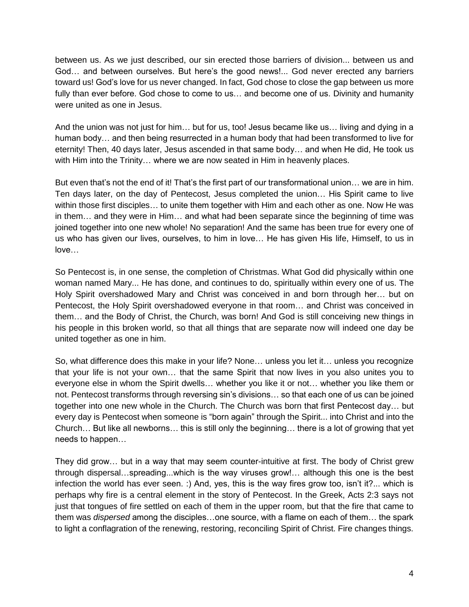between us. As we just described, our sin erected those barriers of division... between us and God… and between ourselves. But here's the good news!... God never erected any barriers toward us! God's love for us never changed. In fact, God chose to close the gap between us more fully than ever before. God chose to come to us… and become one of us. Divinity and humanity were united as one in Jesus.

And the union was not just for him… but for us, too! Jesus became like us… living and dying in a human body… and then being resurrected in a human body that had been transformed to live for eternity! Then, 40 days later, Jesus ascended in that same body… and when He did, He took us with Him into the Trinity… where we are now seated in Him in heavenly places.

But even that's not the end of it! That's the first part of our transformational union... we are in him. Ten days later, on the day of Pentecost, Jesus completed the union… His Spirit came to live within those first disciples… to unite them together with Him and each other as one. Now He was in them… and they were in Him… and what had been separate since the beginning of time was joined together into one new whole! No separation! And the same has been true for every one of us who has given our lives, ourselves, to him in love… He has given His life, Himself, to us in love…

So Pentecost is, in one sense, the completion of Christmas. What God did physically within one woman named Mary... He has done, and continues to do, spiritually within every one of us. The Holy Spirit overshadowed Mary and Christ was conceived in and born through her… but on Pentecost, the Holy Spirit overshadowed everyone in that room… and Christ was conceived in them… and the Body of Christ, the Church, was born! And God is still conceiving new things in his people in this broken world, so that all things that are separate now will indeed one day be united together as one in him.

So, what difference does this make in your life? None… unless you let it… unless you recognize that your life is not your own… that the same Spirit that now lives in you also unites you to everyone else in whom the Spirit dwells… whether you like it or not… whether you like them or not. Pentecost transforms through reversing sin's divisions… so that each one of us can be joined together into one new whole in the Church. The Church was born that first Pentecost day… but every day is Pentecost when someone is "born again" through the Spirit... into Christ and into the Church… But like all newborns… this is still only the beginning… there is a lot of growing that yet needs to happen…

They did grow… but in a way that may seem counter-intuitive at first. The body of Christ grew through dispersal…spreading...which is the way viruses grow!… although this one is the best infection the world has ever seen. :) And, yes, this is the way fires grow too, isn't it?... which is perhaps why fire is a central element in the story of Pentecost. In the Greek, Acts 2:3 says not just that tongues of fire settled on each of them in the upper room, but that the fire that came to them was *dispersed* among the disciples…one source, with a flame on each of them… the spark to light a conflagration of the renewing, restoring, reconciling Spirit of Christ. Fire changes things.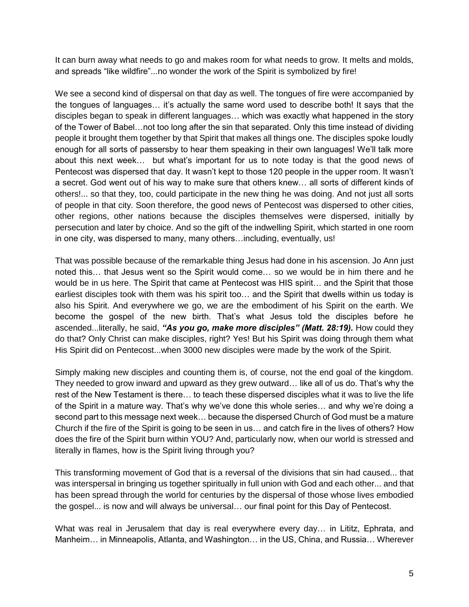It can burn away what needs to go and makes room for what needs to grow. It melts and molds, and spreads "like wildfire"...no wonder the work of the Spirit is symbolized by fire!

We see a second kind of dispersal on that day as well. The tongues of fire were accompanied by the tongues of languages… it's actually the same word used to describe both! It says that the disciples began to speak in different languages… which was exactly what happened in the story of the Tower of Babel…not too long after the sin that separated. Only this time instead of dividing people it brought them together by that Spirit that makes all things one. The disciples spoke loudly enough for all sorts of passersby to hear them speaking in their own languages! We'll talk more about this next week… but what's important for us to note today is that the good news of Pentecost was dispersed that day. It wasn't kept to those 120 people in the upper room. It wasn't a secret. God went out of his way to make sure that others knew… all sorts of different kinds of others!... so that they, too, could participate in the new thing he was doing. And not just all sorts of people in that city. Soon therefore, the good news of Pentecost was dispersed to other cities, other regions, other nations because the disciples themselves were dispersed, initially by persecution and later by choice. And so the gift of the indwelling Spirit, which started in one room in one city, was dispersed to many, many others…including, eventually, us!

That was possible because of the remarkable thing Jesus had done in his ascension. Jo Ann just noted this… that Jesus went so the Spirit would come… so we would be in him there and he would be in us here. The Spirit that came at Pentecost was HIS spirit… and the Spirit that those earliest disciples took with them was his spirit too… and the Spirit that dwells within us today is also his Spirit. And everywhere we go, we are the embodiment of his Spirit on the earth. We become the gospel of the new birth. That's what Jesus told the disciples before he ascended...literally, he said, *"As you go, make more disciples" (Matt. 28:19).* How could they do that? Only Christ can make disciples, right? Yes! But his Spirit was doing through them what His Spirit did on Pentecost...when 3000 new disciples were made by the work of the Spirit.

Simply making new disciples and counting them is, of course, not the end goal of the kingdom. They needed to grow inward and upward as they grew outward… like all of us do. That's why the rest of the New Testament is there… to teach these dispersed disciples what it was to live the life of the Spirit in a mature way. That's why we've done this whole series… and why we're doing a second part to this message next week… because the dispersed Church of God must be a mature Church if the fire of the Spirit is going to be seen in us… and catch fire in the lives of others? How does the fire of the Spirit burn within YOU? And, particularly now, when our world is stressed and literally in flames, how is the Spirit living through you?

This transforming movement of God that is a reversal of the divisions that sin had caused... that was interspersal in bringing us together spiritually in full union with God and each other... and that has been spread through the world for centuries by the dispersal of those whose lives embodied the gospel... is now and will always be universal… our final point for this Day of Pentecost.

What was real in Jerusalem that day is real everywhere every day... in Lititz, Ephrata, and Manheim… in Minneapolis, Atlanta, and Washington… in the US, China, and Russia… Wherever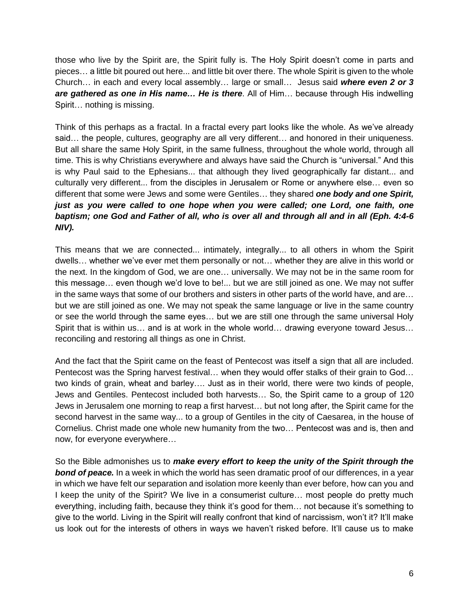those who live by the Spirit are, the Spirit fully is. The Holy Spirit doesn't come in parts and pieces… a little bit poured out here... and little bit over there. The whole Spirit is given to the whole Church… in each and every local assembly… large or small… Jesus said *where even 2 or 3 are gathered as one in His name… He is there*. All of Him… because through His indwelling Spirit… nothing is missing.

Think of this perhaps as a fractal. In a fractal every part looks like the whole. As we've already said… the people, cultures, geography are all very different… and honored in their uniqueness. But all share the same Holy Spirit, in the same fullness, throughout the whole world, through all time. This is why Christians everywhere and always have said the Church is "universal." And this is why Paul said to the Ephesians... that although they lived geographically far distant... and culturally very different... from the disciples in Jerusalem or Rome or anywhere else… even so different that some were Jews and some were Gentiles… they shared *one body and one Spirit, just as you were called to one hope when you were called; one Lord, one faith, one baptism; one God and Father of all, who is over all and through all and in all (Eph. 4:4-6 NIV).* 

This means that we are connected... intimately, integrally... to all others in whom the Spirit dwells… whether we've ever met them personally or not… whether they are alive in this world or the next. In the kingdom of God, we are one… universally. We may not be in the same room for this message… even though we'd love to be!... but we are still joined as one. We may not suffer in the same ways that some of our brothers and sisters in other parts of the world have, and are… but we are still joined as one. We may not speak the same language or live in the same country or see the world through the same eyes… but we are still one through the same universal Holy Spirit that is within us… and is at work in the whole world… drawing everyone toward Jesus… reconciling and restoring all things as one in Christ.

And the fact that the Spirit came on the feast of Pentecost was itself a sign that all are included. Pentecost was the Spring harvest festival… when they would offer stalks of their grain to God… two kinds of grain, wheat and barley…. Just as in their world, there were two kinds of people, Jews and Gentiles. Pentecost included both harvests… So, the Spirit came to a group of 120 Jews in Jerusalem one morning to reap a first harvest… but not long after, the Spirit came for the second harvest in the same way... to a group of Gentiles in the city of Caesarea, in the house of Cornelius. Christ made one whole new humanity from the two… Pentecost was and is, then and now, for everyone everywhere…

So the Bible admonishes us to *make every effort to keep the unity of the Spirit through the*  **bond of peace.** In a week in which the world has seen dramatic proof of our differences, in a year in which we have felt our separation and isolation more keenly than ever before, how can you and I keep the unity of the Spirit? We live in a consumerist culture… most people do pretty much everything, including faith, because they think it's good for them… not because it's something to give to the world. Living in the Spirit will really confront that kind of narcissism, won't it? It'll make us look out for the interests of others in ways we haven't risked before. It'll cause us to make